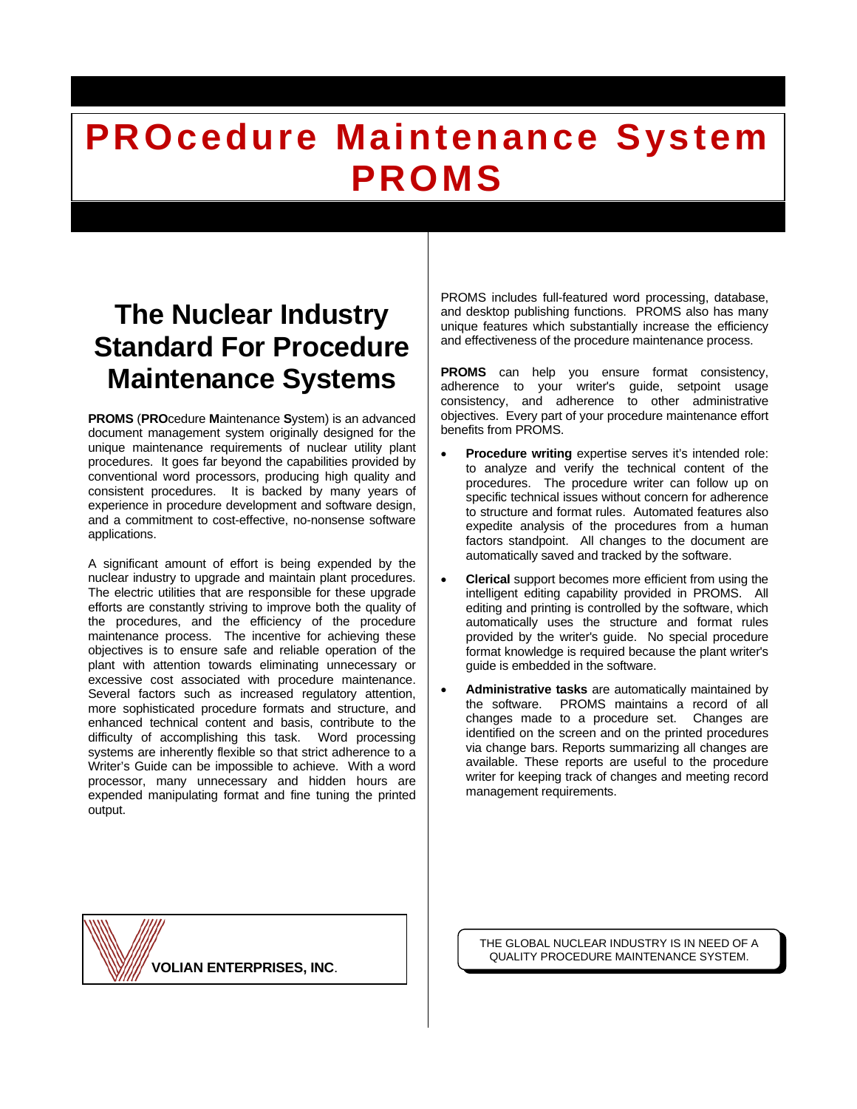# **The Nuclear Industry Standard For Procedure Maintenance Systems**

**PROMS** (**PRO**cedure **M**aintenance **S**ystem) is an advanced document management system originally designed for the unique maintenance requirements of nuclear utility plant procedures. It goes far beyond the capabilities provided by conventional word processors, producing high quality and consistent procedures. It is backed by many years of experience in procedure development and software design, and a commitment to cost-effective, no-nonsense software applications.

A significant amount of effort is being expended by the nuclear industry to upgrade and maintain plant procedures. The electric utilities that are responsible for these upgrade efforts are constantly striving to improve both the quality of the procedures, and the efficiency of the procedure maintenance process. The incentive for achieving these objectives is to ensure safe and reliable operation of the plant with attention towards eliminating unnecessary or excessive cost associated with procedure maintenance. Several factors such as increased regulatory attention, more sophisticated procedure formats and structure, and enhanced technical content and basis, contribute to the difficulty of accomplishing this task. Word processing systems are inherently flexible so that strict adherence to a Writer's Guide can be impossible to achieve. With a word processor, many unnecessary and hidden hours are expended manipulating format and fine tuning the printed output.

PROMS includes full-featured word processing, database, and desktop publishing functions. PROMS also has many unique features which substantially increase the efficiency and effectiveness of the procedure maintenance process.

**PROMS** can help you ensure format consistency, adherence to your writer's guide, setpoint usage consistency, and adherence to other administrative objectives. Every part of your procedure maintenance effort benefits from PROMS.

- **Procedure writing** expertise serves it's intended role: to analyze and verify the technical content of the procedures. The procedure writer can follow up on specific technical issues without concern for adherence to structure and format rules. Automated features also expedite analysis of the procedures from a human factors standpoint. All changes to the document are automatically saved and tracked by the software.
- **Clerical** support becomes more efficient from using the intelligent editing capability provided in PROMS. All editing and printing is controlled by the software, which automatically uses the structure and format rules provided by the writer's guide. No special procedure format knowledge is required because the plant writer's quide is embedded in the software.
- **Administrative tasks** are automatically maintained by the software. PROMS maintains a record of all changes made to a procedure set. Changes are identified on the screen and on the printed procedures via change bars. Reports summarizing all changes are available. These reports are useful to the procedure writer for keeping track of changes and meeting record management requirements.

**VOLIAN ENTERPRISES, INC**.

THE GLOBAL NUCLEAR INDUSTRY IS IN NEED OF A QUALITY PROCEDURE MAINTENANCE SYSTEM.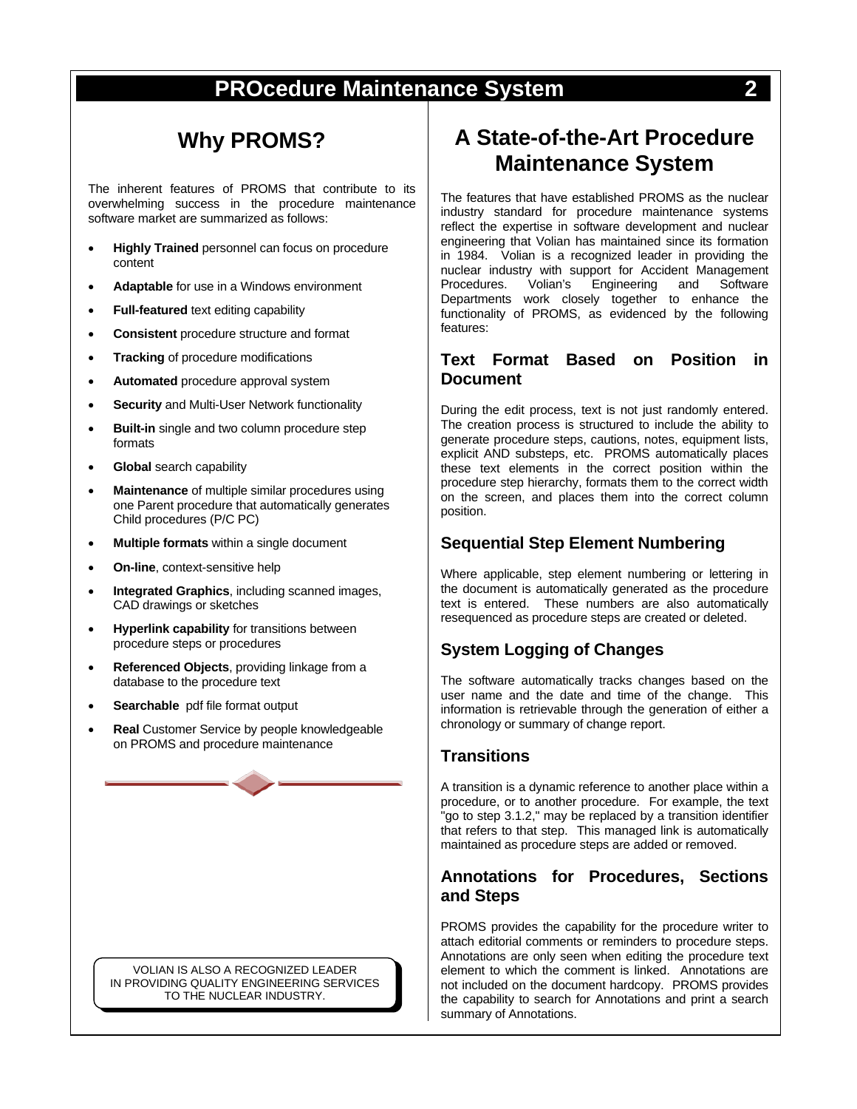# **Why PROMS?**

The inherent features of PROMS that contribute to its overwhelming success in the procedure maintenance software market are summarized as follows:

- **Highly Trained** personnel can focus on procedure content
- **Adaptable** for use in a Windows environment
- **Full-featured** text editing capability
- **Consistent** procedure structure and format
- **Tracking** of procedure modifications
- **Automated** procedure approval system
- **Security** and Multi-User Network functionality
- **Built-in** single and two column procedure step formats
- **Global** search capability
- **Maintenance** of multiple similar procedures using one Parent procedure that automatically generates Child procedures (P/C PC)
- **Multiple formats** within a single document
- **On-line**, context-sensitive help
- **Integrated Graphics**, including scanned images, CAD drawings or sketches
- **Hyperlink capability** for transitions between procedure steps or procedures
- **Referenced Objects**, providing linkage from a database to the procedure text
- **Searchable** pdf file format output
- **Real** Customer Service by people knowledgeable on PROMS and procedure maintenance

VOLIAN IS ALSO A RECOGNIZED LEADER IN PROVIDING QUALITY ENGINEERING SERVICES TO THE NUCLEAR INDUSTRY.

# **A State-of-the-Art Procedure Maintenance System**

The features that have established PROMS as the nuclear industry standard for procedure maintenance systems reflect the expertise in software development and nuclear engineering that Volian has maintained since its formation in 1984. Volian is a recognized leader in providing the nuclear industry with support for Accident Management<br>Procedures. Volian's Engineering and Software Engineering Departments work closely together to enhance the functionality of PROMS, as evidenced by the following features:

#### **Text Format Based on Position in Document**

During the edit process, text is not just randomly entered. The creation process is structured to include the ability to generate procedure steps, cautions, notes, equipment lists, explicit AND substeps, etc. PROMS automatically places these text elements in the correct position within the procedure step hierarchy, formats them to the correct width on the screen, and places them into the correct column position.

#### **Sequential Step Element Numbering**

Where applicable, step element numbering or lettering in the document is automatically generated as the procedure text is entered. These numbers are also automatically resequenced as procedure steps are created or deleted.

#### **System Logging of Changes**

The software automatically tracks changes based on the user name and the date and time of the change. This information is retrievable through the generation of either a chronology or summary of change report.

#### **Transitions**

A transition is a dynamic reference to another place within a procedure, or to another procedure. For example, the text "go to step 3.1.2," may be replaced by a transition identifier that refers to that step. This managed link is automatically maintained as procedure steps are added or removed.

#### **Annotations for Procedures, Sections and Steps**

PROMS provides the capability for the procedure writer to attach editorial comments or reminders to procedure steps. Annotations are only seen when editing the procedure text element to which the comment is linked. Annotations are not included on the document hardcopy. PROMS provides the capability to search for Annotations and print a search summary of Annotations.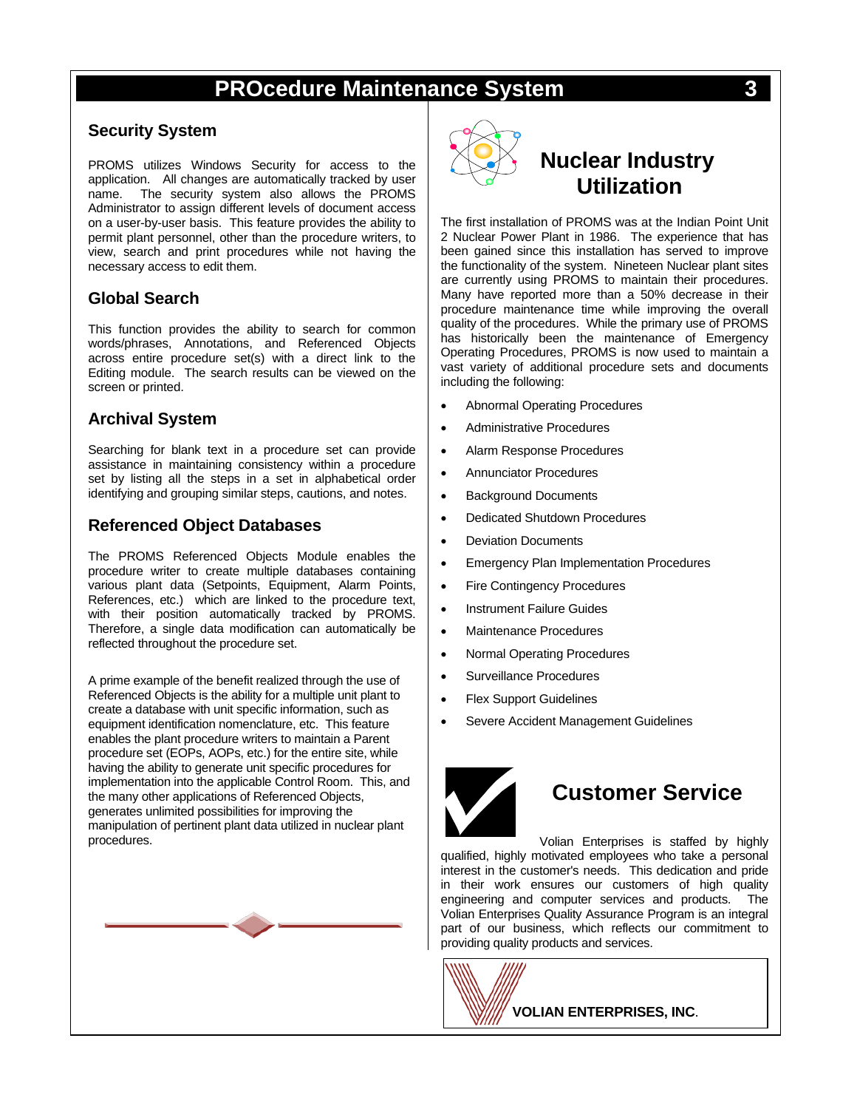#### **Security System**

PROMS utilizes Windows Security for access to the application. All changes are automatically tracked by user name. The security system also allows the PROMS Administrator to assign different levels of document access on a user-by-user basis. This feature provides the ability to permit plant personnel, other than the procedure writers, to view, search and print procedures while not having the necessary access to edit them.

#### **Global Search**

This function provides the ability to search for common words/phrases, Annotations, and Referenced Objects across entire procedure set(s) with a direct link to the Editing module. The search results can be viewed on the screen or printed.

#### **Archival System**

Searching for blank text in a procedure set can provide assistance in maintaining consistency within a procedure set by listing all the steps in a set in alphabetical order identifying and grouping similar steps, cautions, and notes.

#### **Referenced Object Databases**

The PROMS Referenced Objects Module enables the procedure writer to create multiple databases containing various plant data (Setpoints, Equipment, Alarm Points, References, etc.) which are linked to the procedure text, with their position automatically tracked by PROMS. Therefore, a single data modification can automatically be reflected throughout the procedure set.

A prime example of the benefit realized through the use of Referenced Objects is the ability for a multiple unit plant to create a database with unit specific information, such as equipment identification nomenclature, etc. This feature enables the plant procedure writers to maintain a Parent procedure set (EOPs, AOPs, etc.) for the entire site, while having the ability to generate unit specific procedures for implementation into the applicable Control Room. This, and the many other applications of Referenced Objects, generates unlimited possibilities for improving the manipulation of pertinent plant data utilized in nuclear plant procedures.





# **Nuclear Industry Utilization**

The first installation of PROMS was at the Indian Point Unit 2 Nuclear Power Plant in 1986. The experience that has been gained since this installation has served to improve the functionality of the system. Nineteen Nuclear plant sites are currently using PROMS to maintain their procedures. Many have reported more than a 50% decrease in their procedure maintenance time while improving the overall quality of the procedures. While the primary use of PROMS has historically been the maintenance of Emergency Operating Procedures, PROMS is now used to maintain a vast variety of additional procedure sets and documents including the following:

- Abnormal Operating Procedures
- Administrative Procedures
- Alarm Response Procedures
- Annunciator Procedures
- **Background Documents**
- Dedicated Shutdown Procedures
- Deviation Documents
- Emergency Plan Implementation Procedures
- Fire Contingency Procedures
- Instrument Failure Guides
- Maintenance Procedures
- Normal Operating Procedures
- Surveillance Procedures
- **Flex Support Guidelines**
- Severe Accident Management Guidelines



# **Customer Service**

Volian Enterprises is staffed by highly qualified, highly motivated employees who take a personal interest in the customer's needs. This dedication and pride in their work ensures our customers of high quality engineering and computer services and products. The Volian Enterprises Quality Assurance Program is an integral part of our business, which reflects our commitment to providing quality products and services.

**VOLIAN ENTERPRISES, INC**.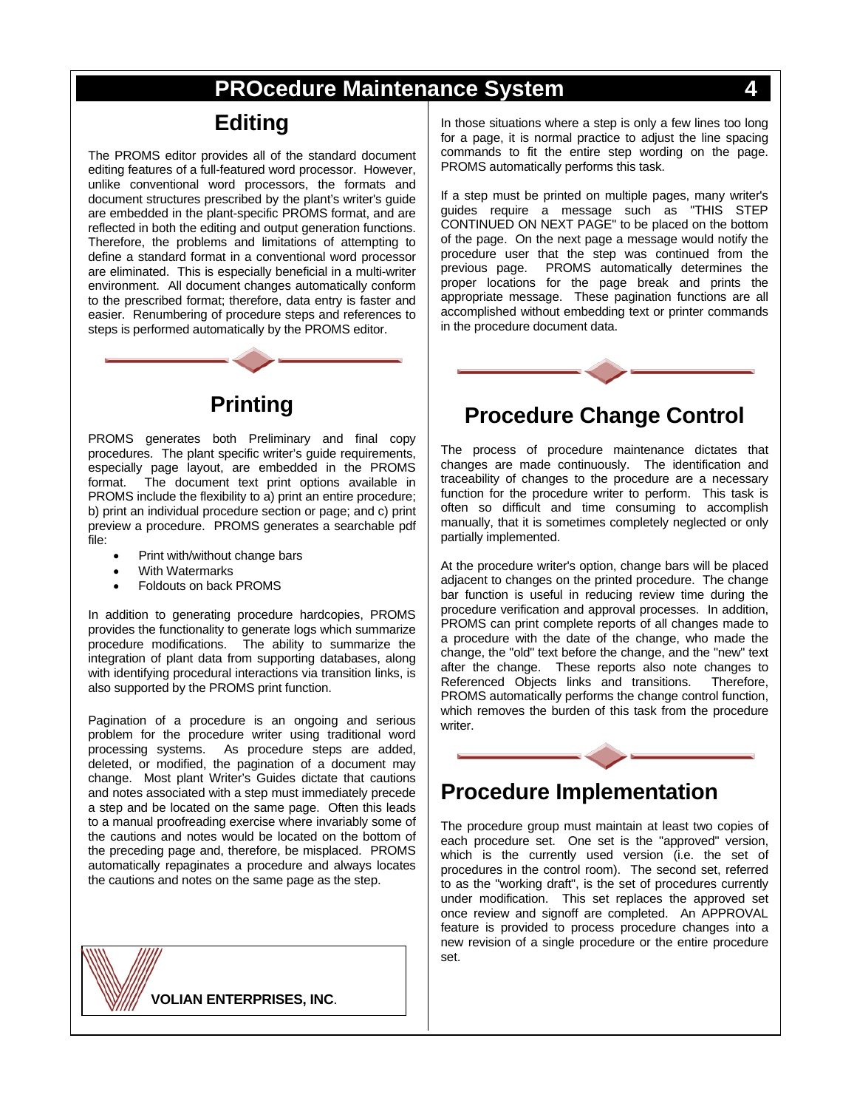### **Editing**

The PROMS editor provides all of the standard document editing features of a full-featured word processor. However, unlike conventional word processors, the formats and document structures prescribed by the plant's writer's guide are embedded in the plant-specific PROMS format, and are reflected in both the editing and output generation functions. Therefore, the problems and limitations of attempting to define a standard format in a conventional word processor are eliminated. This is especially beneficial in a multi-writer environment. All document changes automatically conform to the prescribed format; therefore, data entry is faster and easier. Renumbering of procedure steps and references to steps is performed automatically by the PROMS editor.



# **Printing**

PROMS generates both Preliminary and final copy procedures. The plant specific writer's guide requirements, especially page layout, are embedded in the PROMS<br>format The document text print options available in The document text print options available in PROMS include the flexibility to a) print an entire procedure; b) print an individual procedure section or page; and c) print preview a procedure. PROMS generates a searchable pdf file:

- Print with/without change bars
- With Watermarks
- Foldouts on back PROMS

In addition to generating procedure hardcopies, PROMS provides the functionality to generate logs which summarize procedure modifications. The ability to summarize the integration of plant data from supporting databases, along with identifying procedural interactions via transition links, is also supported by the PROMS print function.

Pagination of a procedure is an ongoing and serious problem for the procedure writer using traditional word processing systems. As procedure steps are added, deleted, or modified, the pagination of a document may change. Most plant Writer's Guides dictate that cautions and notes associated with a step must immediately precede a step and be located on the same page. Often this leads to a manual proofreading exercise where invariably some of the cautions and notes would be located on the bottom of the preceding page and, therefore, be misplaced. PROMS automatically repaginates a procedure and always locates the cautions and notes on the same page as the step.

**VOLIAN ENTERPRISES, INC**.

In those situations where a step is only a few lines too long for a page, it is normal practice to adjust the line spacing commands to fit the entire step wording on the page. PROMS automatically performs this task.

If a step must be printed on multiple pages, many writer's guides require a message such as "THIS STEP CONTINUED ON NEXT PAGE" to be placed on the bottom of the page. On the next page a message would notify the procedure user that the step was continued from the previous page. PROMS automatically determines the proper locations for the page break and prints the appropriate message. These pagination functions are all accomplished without embedding text or printer commands in the procedure document data.



### **Procedure Change Control**

The process of procedure maintenance dictates that changes are made continuously. The identification and traceability of changes to the procedure are a necessary function for the procedure writer to perform. This task is often so difficult and time consuming to accomplish manually, that it is sometimes completely neglected or only partially implemented.

At the procedure writer's option, change bars will be placed adjacent to changes on the printed procedure. The change bar function is useful in reducing review time during the procedure verification and approval processes. In addition, PROMS can print complete reports of all changes made to a procedure with the date of the change, who made the change, the "old" text before the change, and the "new" text after the change. These reports also note changes to Referenced Objects links and transitions. Therefore. Referenced Objects links and transitions. PROMS automatically performs the change control function, which removes the burden of this task from the procedure writer.

### **Procedure Implementation**

The procedure group must maintain at least two copies of each procedure set. One set is the "approved" version, which is the currently used version (i.e. the set of procedures in the control room). The second set, referred to as the "working draft", is the set of procedures currently under modification. This set replaces the approved set once review and signoff are completed. An APPROVAL feature is provided to process procedure changes into a new revision of a single procedure or the entire procedure set.